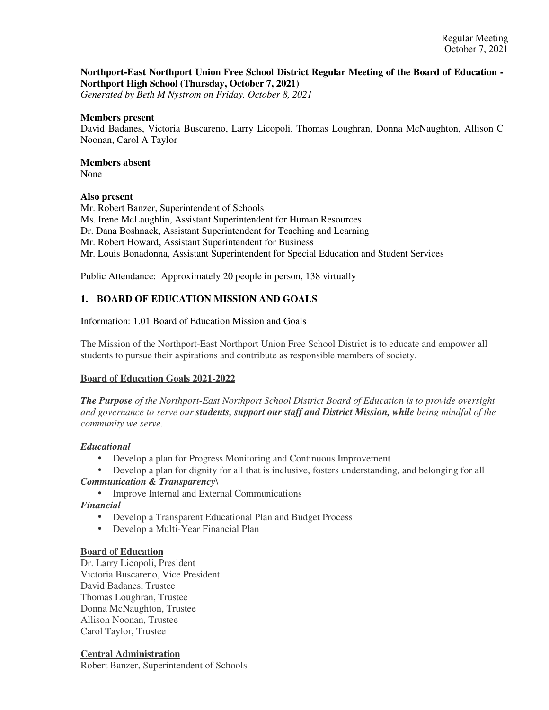# **Northport-East Northport Union Free School District Regular Meeting of the Board of Education - Northport High School (Thursday, October 7, 2021)**

*Generated by Beth M Nystrom on Friday, October 8, 2021*

### **Members present**

David Badanes, Victoria Buscareno, Larry Licopoli, Thomas Loughran, Donna McNaughton, Allison C Noonan, Carol A Taylor

# **Members absent**

None

# **Also present**

Mr. Robert Banzer, Superintendent of Schools Ms. Irene McLaughlin, Assistant Superintendent for Human Resources Dr. Dana Boshnack, Assistant Superintendent for Teaching and Learning Mr. Robert Howard, Assistant Superintendent for Business Mr. Louis Bonadonna, Assistant Superintendent for Special Education and Student Services

Public Attendance: Approximately 20 people in person, 138 virtually

# **1. BOARD OF EDUCATION MISSION AND GOALS**

Information: 1.01 Board of Education Mission and Goals

The Mission of the Northport-East Northport Union Free School District is to educate and empower all students to pursue their aspirations and contribute as responsible members of society.

# **Board of Education Goals 2021-2022**

*The Purpose of the Northport-East Northport School District Board of Education is to provide oversight and governance to serve our students, support our staff and District Mission, while being mindful of the community we serve.*

# *Educational*

• Develop a plan for Progress Monitoring and Continuous Improvement

• Develop a plan for dignity for all that is inclusive, fosters understanding, and belonging for all *Communication & Transparency*\

• Improve Internal and External Communications

*Financial*

- Develop a Transparent Educational Plan and Budget Process
- Develop a Multi-Year Financial Plan

# **Board of Education**

Dr. Larry Licopoli, President Victoria Buscareno, Vice President David Badanes, Trustee Thomas Loughran, Trustee Donna McNaughton, Trustee Allison Noonan, Trustee Carol Taylor, Trustee

### **Central Administration**

Robert Banzer, Superintendent of Schools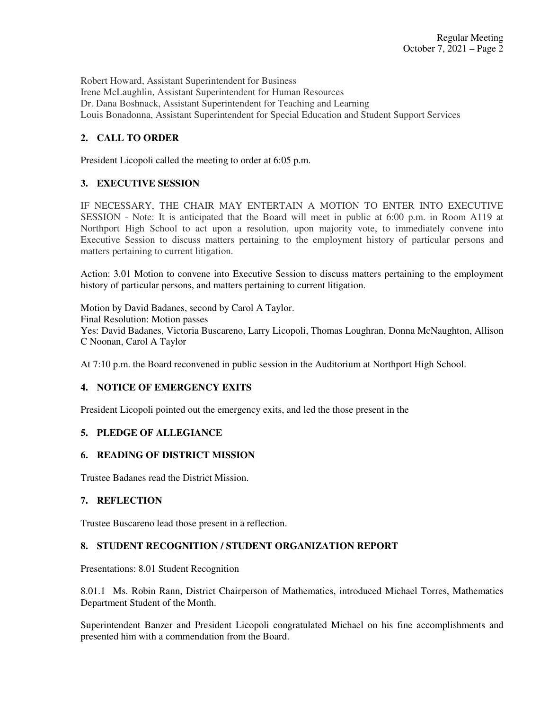Robert Howard, Assistant Superintendent for Business Irene McLaughlin, Assistant Superintendent for Human Resources Dr. Dana Boshnack, Assistant Superintendent for Teaching and Learning Louis Bonadonna, Assistant Superintendent for Special Education and Student Support Services

# **2. CALL TO ORDER**

President Licopoli called the meeting to order at 6:05 p.m.

# **3. EXECUTIVE SESSION**

IF NECESSARY, THE CHAIR MAY ENTERTAIN A MOTION TO ENTER INTO EXECUTIVE SESSION - Note: It is anticipated that the Board will meet in public at 6:00 p.m. in Room A119 at Northport High School to act upon a resolution, upon majority vote, to immediately convene into Executive Session to discuss matters pertaining to the employment history of particular persons and matters pertaining to current litigation.

Action: 3.01 Motion to convene into Executive Session to discuss matters pertaining to the employment history of particular persons, and matters pertaining to current litigation.

Motion by David Badanes, second by Carol A Taylor. Final Resolution: Motion passes Yes: David Badanes, Victoria Buscareno, Larry Licopoli, Thomas Loughran, Donna McNaughton, Allison C Noonan, Carol A Taylor

At 7:10 p.m. the Board reconvened in public session in the Auditorium at Northport High School.

# **4. NOTICE OF EMERGENCY EXITS**

President Licopoli pointed out the emergency exits, and led the those present in the

# **5. PLEDGE OF ALLEGIANCE**

# **6. READING OF DISTRICT MISSION**

Trustee Badanes read the District Mission.

# **7. REFLECTION**

Trustee Buscareno lead those present in a reflection.

# **8. STUDENT RECOGNITION / STUDENT ORGANIZATION REPORT**

Presentations: 8.01 Student Recognition

8.01.1 Ms. Robin Rann, District Chairperson of Mathematics, introduced Michael Torres, Mathematics Department Student of the Month.

Superintendent Banzer and President Licopoli congratulated Michael on his fine accomplishments and presented him with a commendation from the Board.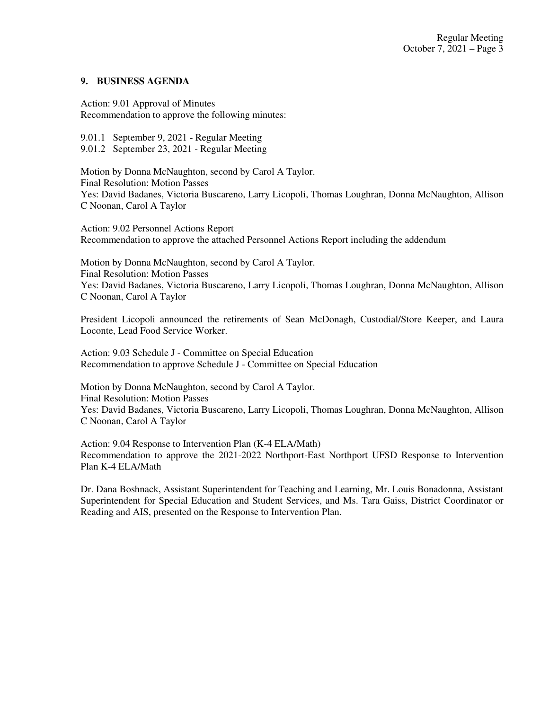# **9. BUSINESS AGENDA**

Action: 9.01 Approval of Minutes Recommendation to approve the following minutes:

9.01.1 September 9, 2021 - Regular Meeting 9.01.2 September 23, 2021 - Regular Meeting

Motion by Donna McNaughton, second by Carol A Taylor. Final Resolution: Motion Passes Yes: David Badanes, Victoria Buscareno, Larry Licopoli, Thomas Loughran, Donna McNaughton, Allison C Noonan, Carol A Taylor

Action: 9.02 Personnel Actions Report Recommendation to approve the attached Personnel Actions Report including the addendum

Motion by Donna McNaughton, second by Carol A Taylor. Final Resolution: Motion Passes Yes: David Badanes, Victoria Buscareno, Larry Licopoli, Thomas Loughran, Donna McNaughton, Allison C Noonan, Carol A Taylor

President Licopoli announced the retirements of Sean McDonagh, Custodial/Store Keeper, and Laura Loconte, Lead Food Service Worker.

Action: 9.03 Schedule J - Committee on Special Education Recommendation to approve Schedule J - Committee on Special Education

Motion by Donna McNaughton, second by Carol A Taylor. Final Resolution: Motion Passes Yes: David Badanes, Victoria Buscareno, Larry Licopoli, Thomas Loughran, Donna McNaughton, Allison C Noonan, Carol A Taylor

Action: 9.04 Response to Intervention Plan (K-4 ELA/Math) Recommendation to approve the 2021-2022 Northport-East Northport UFSD Response to Intervention Plan K-4 ELA/Math

Dr. Dana Boshnack, Assistant Superintendent for Teaching and Learning, Mr. Louis Bonadonna, Assistant Superintendent for Special Education and Student Services, and Ms. Tara Gaiss, District Coordinator or Reading and AIS, presented on the Response to Intervention Plan.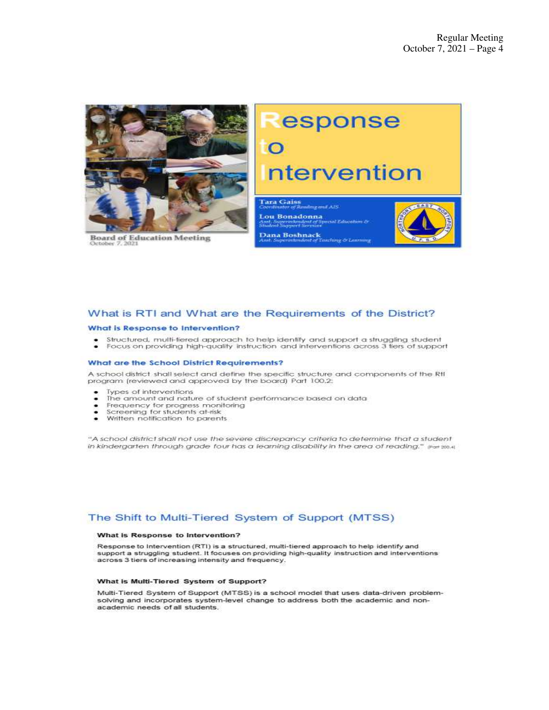

**Board of Education Meeting** 

# Response ntervention Tara Gaiss Lou Bonadonna **Contract Management Contract Contract** одентатынын суз<br>А. Saction I Services Dana Boshnack<br>Dana Boshnack<br>Teaching & Learning

### What is RTI and What are the Requirements of the District?

#### What is Response to Intervention?

- Structured, multi-fiered approach to help identify and support a struggling student
- Focus on providing high-quality instruction and interventions across 3 tiers of support

#### What are the School District Requirements?

A school district shall select and define the specific structure and components of the RtI program (reviewed and approved by the board) Part 100.2:

- Types of interventions
- The amount and nature of student performance based on data .
- Frequency for progress monitoring ۰
- Screening for students at-risk  $\overline{\phantom{0}}$
- Written notification to parents

"A school district shall not use the severe discrepancy criteria to determine that a student in kindergarten through grade four has a learning disability in the area of reading." par 2004

### The Shift to Multi-Tiered System of Support (MTSS)

#### What is Response to Intervention?

Response to Intervention (RTI) is a structured, multi-tiered approach to help identify and support a struggling student. It focuses on providing high-quality instruction and interventions across 3 tiers of increasing intensity and frequency.

#### What is Multi-Tiered System of Support?

Multi-Tiered System of Support (MTSS) is a school model that uses data-driven problemsolving and incorporates system-level change to address both the academic and nonacademic needs of all students.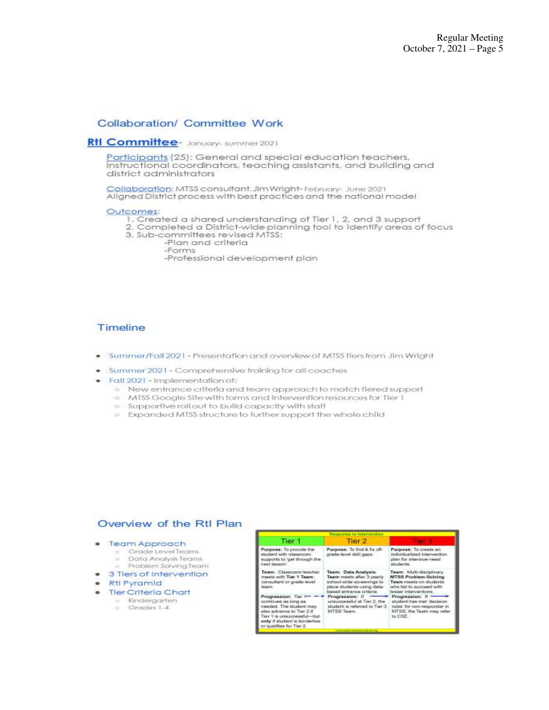# Collaboration/ Committee Work

### Rtl Committee- January- summer 2021

Participants (25): General and special education teachers, instructional coordinators, teaching assistants, and building and district administrators

Collaboration: MTSS consultant, Jim Wright-February- June 2021 Aligned District process with best practices and the national model

#### Outcomes:

- 1. Created a shared understanding of Tier 1, 2, and 3 support
- 2. Completed a District-wide planning tool to identify areas of focus 3. Sub-committees revised MTSS:
	- -Plan and criteria
		- -Forms

-Professional development plan

# Timeline

- . Summer/Fall 2021 Presentation and overview of MTSS flers from Jim Wright
- · Summer 2021 Comprehensive training for all coaches
- · Fall 2021 Implementation of:
	- o New entrance criteria and team approach to match tiered support
	- o MTSS Google Site with forms and intervention resources for Tier 1
	- o Supportive roll out to build capacity with staff
	- o Expanded MTSS structure to further support the whole child

### Overview of the RtI Plan

- · Team Approach
	- o Grade Level Teams
	- Data Analysis Teams ia. Problem Solving Team
- 3 Tiers of Intervention  $\bullet$ 
	- Rtl Pyramid
- 
- **Tier Criteria Chart** 
	- · Kindergarten o Grades 1-4
		-

| <b>Cesa onse to Intervention</b>                                                                                                                                                              |                                                                                                                                         |                                                                                                                                       |
|-----------------------------------------------------------------------------------------------------------------------------------------------------------------------------------------------|-----------------------------------------------------------------------------------------------------------------------------------------|---------------------------------------------------------------------------------------------------------------------------------------|
| Tier 1                                                                                                                                                                                        | Tier <sub>2</sub>                                                                                                                       |                                                                                                                                       |
| Purpose: To provide the<br>student with classroom.<br>supports to 'get through the<br>mext lesson'.                                                                                           | Purpose: To find & fix off-<br>grade-level skill gaps.                                                                                  | Purpose: To create an<br>individualized intervention.<br>plan for interisive-need<br>students.                                        |
| Team: Classroom teacher<br>meets with Tier 1 Team:<br>consultant or grade-level.<br>tegers.                                                                                                   | Team: Data Analysis<br>Team meets after 3 yearly<br>echool-usde screenings to<br>place students using data-<br>based entrance criteria. | Team: Multi-disciplinary<br><b>MTSS Problem-Solving</b><br>Team meets on students<br>who fail to succeed with<br>lesser interventons. |
| Progression: Tar !-<br>continues as long as<br>needed. The student may<br>also advance to Tier 2 if<br>Tier 1 is unsuccessful-but<br>only if student is borderine<br>or qualifies for Tier 2. | Progression: If<br>unauccessful at Tier 2, the<br>student is referred to Tier 3<br>MTSS Team                                            | Progression: If<br>student has met 'decision'<br>rules' for non-responder in<br>MTSS, the Team may refer<br>to CSE                    |
|                                                                                                                                                                                               | dealers will be a more than the                                                                                                         |                                                                                                                                       |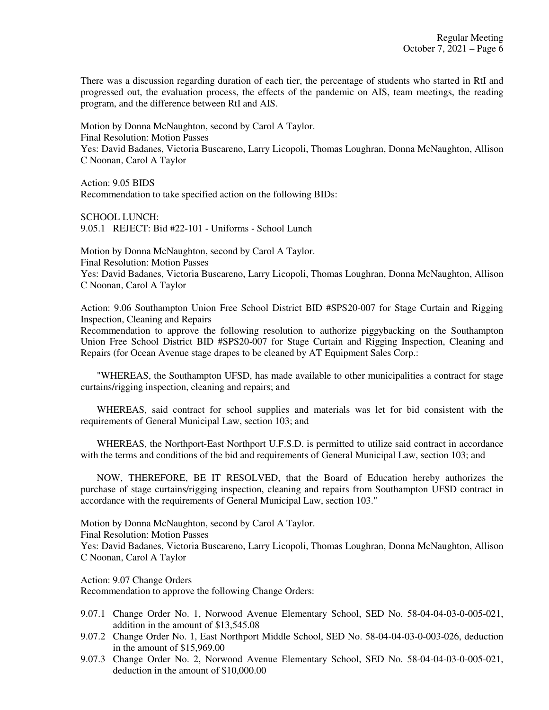There was a discussion regarding duration of each tier, the percentage of students who started in RtI and progressed out, the evaluation process, the effects of the pandemic on AIS, team meetings, the reading program, and the difference between RtI and AIS.

Motion by Donna McNaughton, second by Carol A Taylor. Final Resolution: Motion Passes Yes: David Badanes, Victoria Buscareno, Larry Licopoli, Thomas Loughran, Donna McNaughton, Allison C Noonan, Carol A Taylor

Action: 9.05 BIDS Recommendation to take specified action on the following BIDs:

SCHOOL LUNCH: 9.05.1 REJECT: Bid #22-101 - Uniforms - School Lunch

Motion by Donna McNaughton, second by Carol A Taylor. Final Resolution: Motion Passes Yes: David Badanes, Victoria Buscareno, Larry Licopoli, Thomas Loughran, Donna McNaughton, Allison C Noonan, Carol A Taylor

Action: 9.06 Southampton Union Free School District BID #SPS20-007 for Stage Curtain and Rigging Inspection, Cleaning and Repairs

Recommendation to approve the following resolution to authorize piggybacking on the Southampton Union Free School District BID #SPS20-007 for Stage Curtain and Rigging Inspection, Cleaning and Repairs (for Ocean Avenue stage drapes to be cleaned by AT Equipment Sales Corp.:

 "WHEREAS, the Southampton UFSD, has made available to other municipalities a contract for stage curtains/rigging inspection, cleaning and repairs; and

 WHEREAS, said contract for school supplies and materials was let for bid consistent with the requirements of General Municipal Law, section 103; and

 WHEREAS, the Northport-East Northport U.F.S.D. is permitted to utilize said contract in accordance with the terms and conditions of the bid and requirements of General Municipal Law, section 103; and

 NOW, THEREFORE, BE IT RESOLVED, that the Board of Education hereby authorizes the purchase of stage curtains/rigging inspection, cleaning and repairs from Southampton UFSD contract in accordance with the requirements of General Municipal Law, section 103."

Motion by Donna McNaughton, second by Carol A Taylor. Final Resolution: Motion Passes Yes: David Badanes, Victoria Buscareno, Larry Licopoli, Thomas Loughran, Donna McNaughton, Allison C Noonan, Carol A Taylor

Action: 9.07 Change Orders

Recommendation to approve the following Change Orders:

- 9.07.1 Change Order No. 1, Norwood Avenue Elementary School, SED No. 58-04-04-03-0-005-021, addition in the amount of \$13,545.08
- 9.07.2 Change Order No. 1, East Northport Middle School, SED No. 58-04-04-03-0-003-026, deduction in the amount of \$15,969.00
- 9.07.3 Change Order No. 2, Norwood Avenue Elementary School, SED No. 58-04-04-03-0-005-021, deduction in the amount of \$10,000.00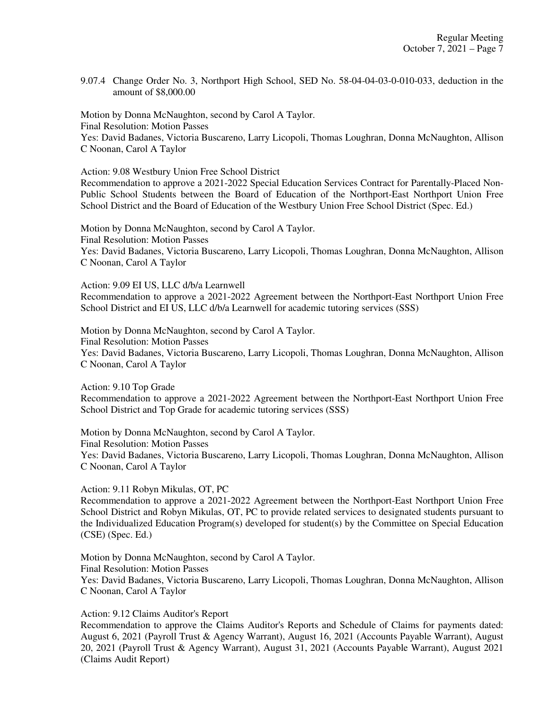9.07.4 Change Order No. 3, Northport High School, SED No. 58-04-04-03-0-010-033, deduction in the amount of \$8,000.00

Motion by Donna McNaughton, second by Carol A Taylor. Final Resolution: Motion Passes Yes: David Badanes, Victoria Buscareno, Larry Licopoli, Thomas Loughran, Donna McNaughton, Allison C Noonan, Carol A Taylor

Action: 9.08 Westbury Union Free School District

Recommendation to approve a 2021-2022 Special Education Services Contract for Parentally-Placed Non-Public School Students between the Board of Education of the Northport-East Northport Union Free School District and the Board of Education of the Westbury Union Free School District (Spec. Ed.)

Motion by Donna McNaughton, second by Carol A Taylor. Final Resolution: Motion Passes Yes: David Badanes, Victoria Buscareno, Larry Licopoli, Thomas Loughran, Donna McNaughton, Allison C Noonan, Carol A Taylor

Action: 9.09 EI US, LLC d/b/a Learnwell Recommendation to approve a 2021-2022 Agreement between the Northport-East Northport Union Free School District and EI US, LLC d/b/a Learnwell for academic tutoring services (SSS)

Motion by Donna McNaughton, second by Carol A Taylor. Final Resolution: Motion Passes Yes: David Badanes, Victoria Buscareno, Larry Licopoli, Thomas Loughran, Donna McNaughton, Allison C Noonan, Carol A Taylor

Action: 9.10 Top Grade Recommendation to approve a 2021-2022 Agreement between the Northport-East Northport Union Free School District and Top Grade for academic tutoring services (SSS)

Motion by Donna McNaughton, second by Carol A Taylor. Final Resolution: Motion Passes Yes: David Badanes, Victoria Buscareno, Larry Licopoli, Thomas Loughran, Donna McNaughton, Allison C Noonan, Carol A Taylor

Action: 9.11 Robyn Mikulas, OT, PC

Recommendation to approve a 2021-2022 Agreement between the Northport-East Northport Union Free School District and Robyn Mikulas, OT, PC to provide related services to designated students pursuant to the Individualized Education Program(s) developed for student(s) by the Committee on Special Education (CSE) (Spec. Ed.)

Motion by Donna McNaughton, second by Carol A Taylor. Final Resolution: Motion Passes Yes: David Badanes, Victoria Buscareno, Larry Licopoli, Thomas Loughran, Donna McNaughton, Allison C Noonan, Carol A Taylor

Action: 9.12 Claims Auditor's Report

Recommendation to approve the Claims Auditor's Reports and Schedule of Claims for payments dated: August 6, 2021 (Payroll Trust & Agency Warrant), August 16, 2021 (Accounts Payable Warrant), August 20, 2021 (Payroll Trust & Agency Warrant), August 31, 2021 (Accounts Payable Warrant), August 2021 (Claims Audit Report)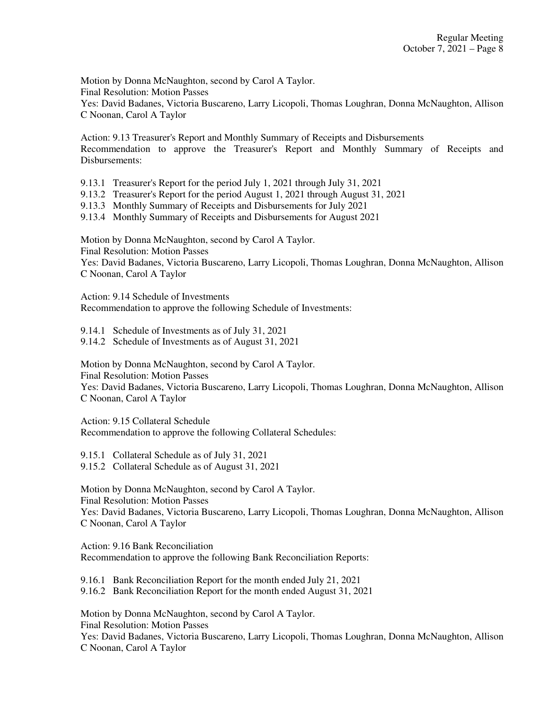Motion by Donna McNaughton, second by Carol A Taylor. Final Resolution: Motion Passes Yes: David Badanes, Victoria Buscareno, Larry Licopoli, Thomas Loughran, Donna McNaughton, Allison C Noonan, Carol A Taylor

Action: 9.13 Treasurer's Report and Monthly Summary of Receipts and Disbursements Recommendation to approve the Treasurer's Report and Monthly Summary of Receipts and Disbursements:

9.13.1 Treasurer's Report for the period July 1, 2021 through July 31, 2021

9.13.2 Treasurer's Report for the period August 1, 2021 through August 31, 2021

9.13.3 Monthly Summary of Receipts and Disbursements for July 2021

9.13.4 Monthly Summary of Receipts and Disbursements for August 2021

Motion by Donna McNaughton, second by Carol A Taylor.

Final Resolution: Motion Passes

Yes: David Badanes, Victoria Buscareno, Larry Licopoli, Thomas Loughran, Donna McNaughton, Allison C Noonan, Carol A Taylor

Action: 9.14 Schedule of Investments Recommendation to approve the following Schedule of Investments:

9.14.1 Schedule of Investments as of July 31, 2021

9.14.2 Schedule of Investments as of August 31, 2021

Motion by Donna McNaughton, second by Carol A Taylor.

Final Resolution: Motion Passes

Yes: David Badanes, Victoria Buscareno, Larry Licopoli, Thomas Loughran, Donna McNaughton, Allison C Noonan, Carol A Taylor

Action: 9.15 Collateral Schedule Recommendation to approve the following Collateral Schedules:

9.15.1 Collateral Schedule as of July 31, 2021 9.15.2 Collateral Schedule as of August 31, 2021

Motion by Donna McNaughton, second by Carol A Taylor. Final Resolution: Motion Passes Yes: David Badanes, Victoria Buscareno, Larry Licopoli, Thomas Loughran, Donna McNaughton, Allison C Noonan, Carol A Taylor

Action: 9.16 Bank Reconciliation Recommendation to approve the following Bank Reconciliation Reports:

9.16.1 Bank Reconciliation Report for the month ended July 21, 2021

9.16.2 Bank Reconciliation Report for the month ended August 31, 2021

Motion by Donna McNaughton, second by Carol A Taylor. Final Resolution: Motion Passes

Yes: David Badanes, Victoria Buscareno, Larry Licopoli, Thomas Loughran, Donna McNaughton, Allison C Noonan, Carol A Taylor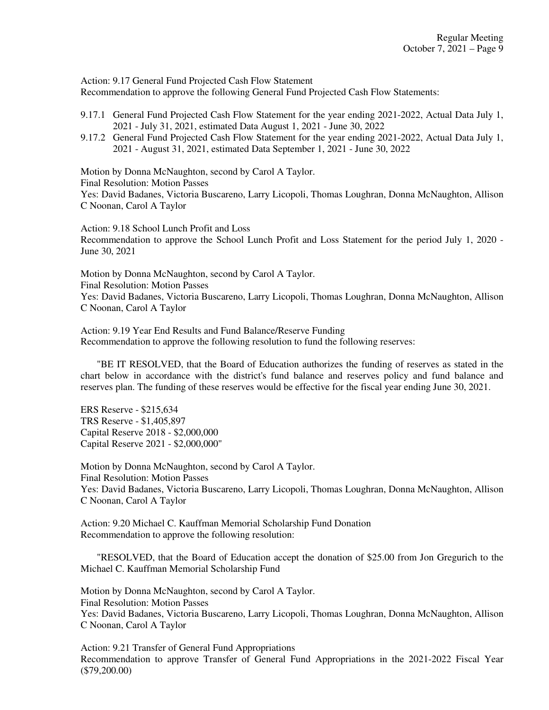Action: 9.17 General Fund Projected Cash Flow Statement Recommendation to approve the following General Fund Projected Cash Flow Statements:

- 9.17.1 General Fund Projected Cash Flow Statement for the year ending 2021-2022, Actual Data July 1, 2021 - July 31, 2021, estimated Data August 1, 2021 - June 30, 2022
- 9.17.2 General Fund Projected Cash Flow Statement for the year ending 2021-2022, Actual Data July 1, 2021 - August 31, 2021, estimated Data September 1, 2021 - June 30, 2022

Motion by Donna McNaughton, second by Carol A Taylor. Final Resolution: Motion Passes Yes: David Badanes, Victoria Buscareno, Larry Licopoli, Thomas Loughran, Donna McNaughton, Allison C Noonan, Carol A Taylor

Action: 9.18 School Lunch Profit and Loss Recommendation to approve the School Lunch Profit and Loss Statement for the period July 1, 2020 - June 30, 2021

Motion by Donna McNaughton, second by Carol A Taylor. Final Resolution: Motion Passes Yes: David Badanes, Victoria Buscareno, Larry Licopoli, Thomas Loughran, Donna McNaughton, Allison C Noonan, Carol A Taylor

Action: 9.19 Year End Results and Fund Balance/Reserve Funding Recommendation to approve the following resolution to fund the following reserves:

 "BE IT RESOLVED, that the Board of Education authorizes the funding of reserves as stated in the chart below in accordance with the district's fund balance and reserves policy and fund balance and reserves plan. The funding of these reserves would be effective for the fiscal year ending June 30, 2021.

ERS Reserve - \$215,634 TRS Reserve - \$1,405,897 Capital Reserve 2018 - \$2,000,000 Capital Reserve 2021 - \$2,000,000"

Motion by Donna McNaughton, second by Carol A Taylor. Final Resolution: Motion Passes Yes: David Badanes, Victoria Buscareno, Larry Licopoli, Thomas Loughran, Donna McNaughton, Allison C Noonan, Carol A Taylor

Action: 9.20 Michael C. Kauffman Memorial Scholarship Fund Donation Recommendation to approve the following resolution:

 "RESOLVED, that the Board of Education accept the donation of \$25.00 from Jon Gregurich to the Michael C. Kauffman Memorial Scholarship Fund

Motion by Donna McNaughton, second by Carol A Taylor. Final Resolution: Motion Passes Yes: David Badanes, Victoria Buscareno, Larry Licopoli, Thomas Loughran, Donna McNaughton, Allison C Noonan, Carol A Taylor

Action: 9.21 Transfer of General Fund Appropriations Recommendation to approve Transfer of General Fund Appropriations in the 2021-2022 Fiscal Year (\$79,200.00)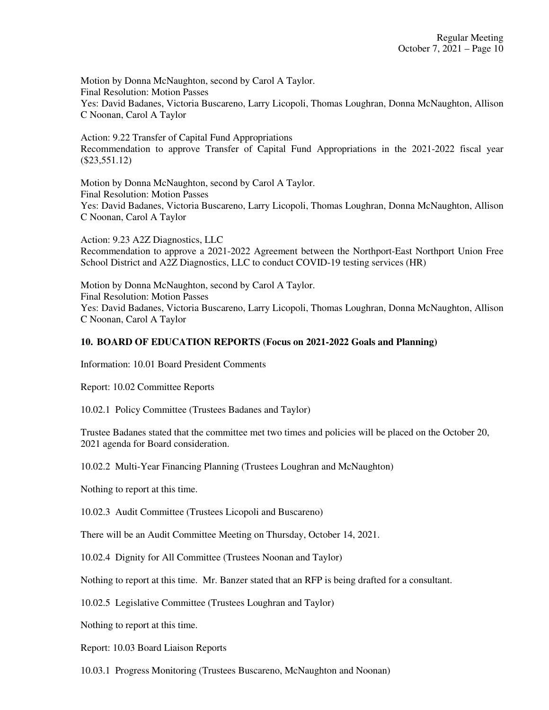Motion by Donna McNaughton, second by Carol A Taylor. Final Resolution: Motion Passes Yes: David Badanes, Victoria Buscareno, Larry Licopoli, Thomas Loughran, Donna McNaughton, Allison C Noonan, Carol A Taylor

Action: 9.22 Transfer of Capital Fund Appropriations Recommendation to approve Transfer of Capital Fund Appropriations in the 2021-2022 fiscal year (\$23,551.12)

Motion by Donna McNaughton, second by Carol A Taylor. Final Resolution: Motion Passes Yes: David Badanes, Victoria Buscareno, Larry Licopoli, Thomas Loughran, Donna McNaughton, Allison C Noonan, Carol A Taylor

Action: 9.23 A2Z Diagnostics, LLC Recommendation to approve a 2021-2022 Agreement between the Northport-East Northport Union Free School District and A2Z Diagnostics, LLC to conduct COVID-19 testing services (HR)

Motion by Donna McNaughton, second by Carol A Taylor. Final Resolution: Motion Passes Yes: David Badanes, Victoria Buscareno, Larry Licopoli, Thomas Loughran, Donna McNaughton, Allison C Noonan, Carol A Taylor

# **10. BOARD OF EDUCATION REPORTS (Focus on 2021-2022 Goals and Planning)**

Information: 10.01 Board President Comments

Report: 10.02 Committee Reports

10.02.1 Policy Committee (Trustees Badanes and Taylor)

Trustee Badanes stated that the committee met two times and policies will be placed on the October 20, 2021 agenda for Board consideration.

10.02.2 Multi-Year Financing Planning (Trustees Loughran and McNaughton)

Nothing to report at this time.

10.02.3 Audit Committee (Trustees Licopoli and Buscareno)

There will be an Audit Committee Meeting on Thursday, October 14, 2021.

10.02.4 Dignity for All Committee (Trustees Noonan and Taylor)

Nothing to report at this time. Mr. Banzer stated that an RFP is being drafted for a consultant.

10.02.5 Legislative Committee (Trustees Loughran and Taylor)

Nothing to report at this time.

Report: 10.03 Board Liaison Reports

10.03.1 Progress Monitoring (Trustees Buscareno, McNaughton and Noonan)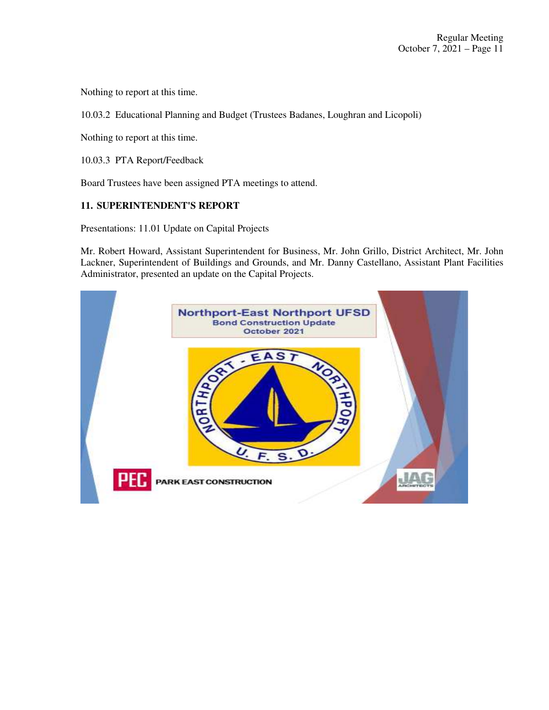Nothing to report at this time.

10.03.2 Educational Planning and Budget (Trustees Badanes, Loughran and Licopoli)

Nothing to report at this time.

10.03.3 PTA Report/Feedback

Board Trustees have been assigned PTA meetings to attend.

# **11. SUPERINTENDENT'S REPORT**

Presentations: 11.01 Update on Capital Projects

Mr. Robert Howard, Assistant Superintendent for Business, Mr. John Grillo, District Architect, Mr. John Lackner, Superintendent of Buildings and Grounds, and Mr. Danny Castellano, Assistant Plant Facilities Administrator, presented an update on the Capital Projects.

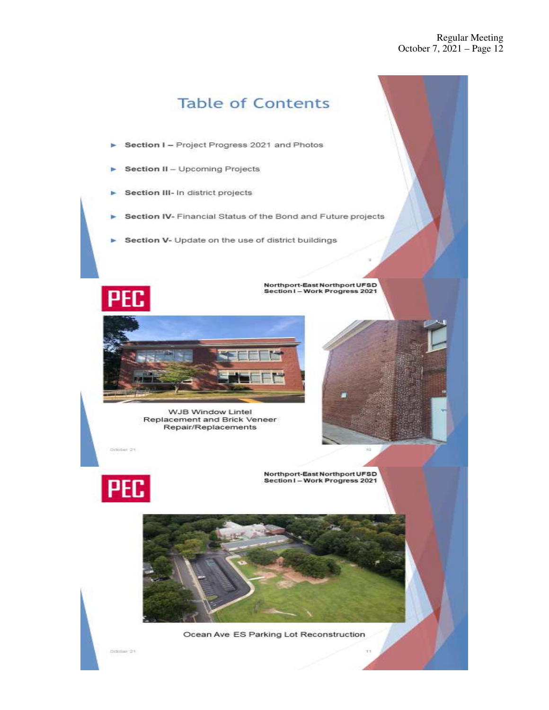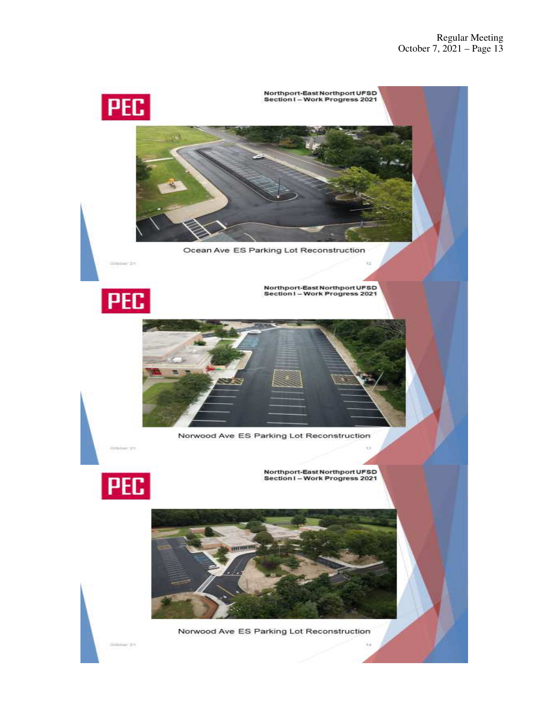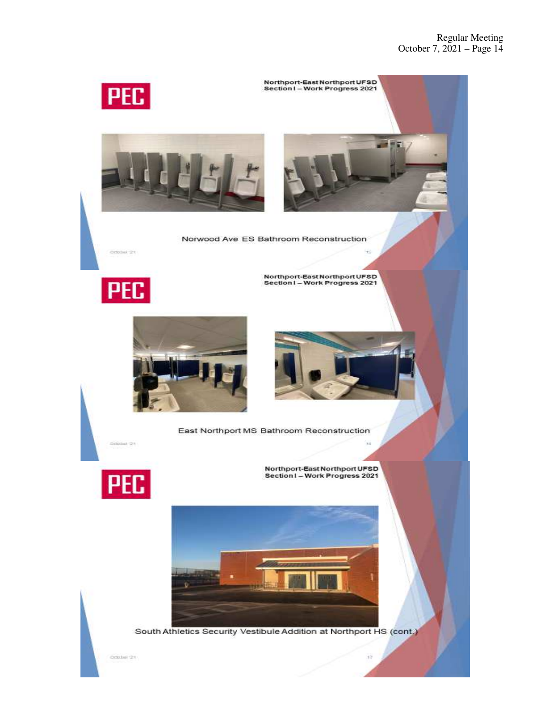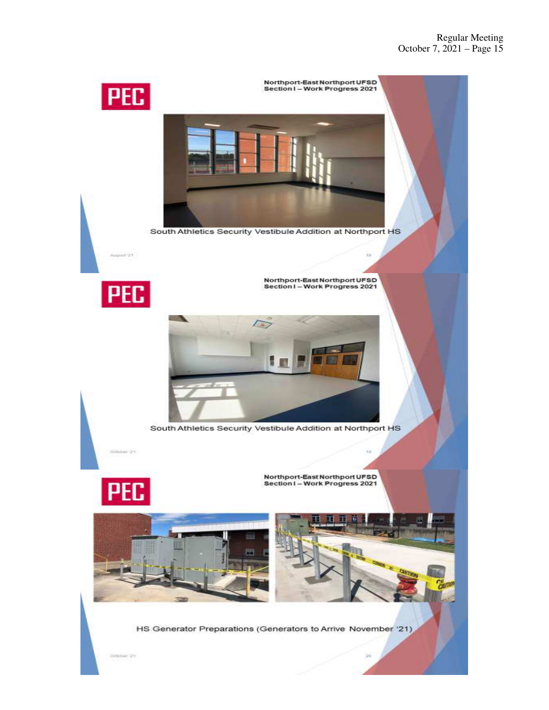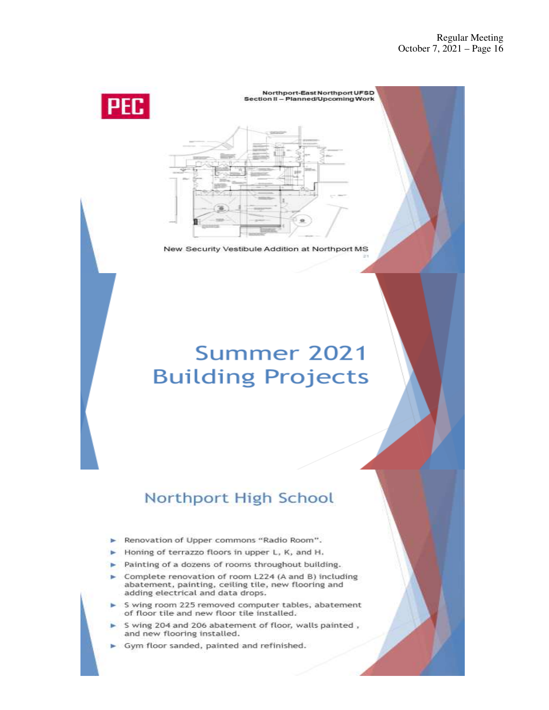

#### Northport-East Northport UFSD Section II - Planned/Upcoming Work



New Security Vestibule Addition at Northport MS

# Summer 2021 **Building Projects**

# Northport High School

- Renovation of Upper commons "Radio Room". ь
- Honing of terrazzo floors in upper L, K, and H.
- Painting of a dozens of rooms throughout building.  $\overline{a}$
- Complete renovation of room L224 (A and B) including abatement, painting, ceiling tile, new flooring and adding electrical and data drops.
- S wing room 225 removed computer tables, abatement of floor tile and new floor tile installed.
- S wing 204 and 206 abatement of floor, walls painted, and new flooring installed.
- Gym floor sanded, painted and refinished.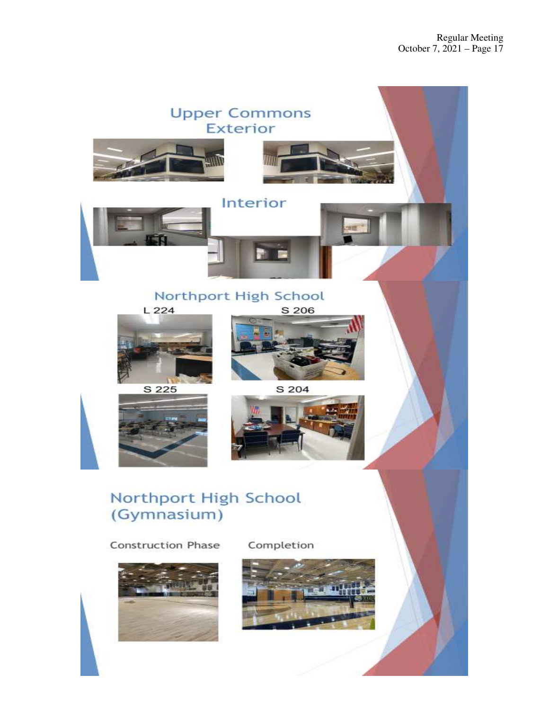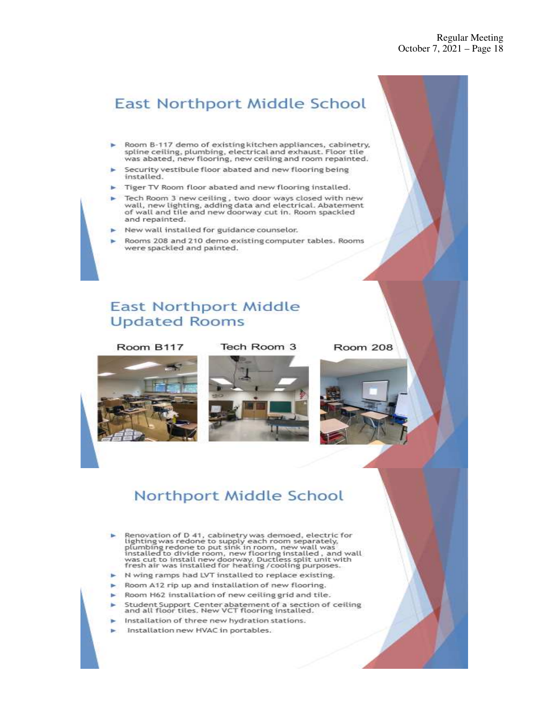# **East Northport Middle School**

- Room B-117 demo of existing kitchen appliances, cabinetry, spline ceiling, plumbing, electrical and exhaust. Floor tile<br>was abated, new flooring, new ceiling and room repainted.
- Security vestibule floor abated and new flooring being installed.
- Tiger TV Room floor abated and new flooring installed.
- Tech Room 3 new ceiling, two door ways closed with new wall, new lighting, adding data and electrical. Abatement<br>of wall and tile and new doorway cut in. Room spackled and repainted.
- New wall installed for guidance counselor.
- Rooms 208 and 210 demo existing computer tables. Rooms were spackled and painted.

# **East Northport Middle Updated Rooms**

### Room B117

# Tech Room 3

Room 208



# Northport Middle School

- Renovation of D 41, cabinetry was demoed, electric for<br>lighting was redone to supply each room separately,<br>plumbing redone to put sink in room, new mall was<br>installed to divide room, new flooring installed, and wall<br>was cu
- N wing ramps had LVT installed to replace existing.
- Room A12 rip up and installation of new flooring.
- Room H62 installation of new ceiling grid and tile.
- Student Support Center abatement of a section of ceiling<br>and all floor tiles. New VCT flooring installed.
- Installation of three new hydration stations.
- Installation new HVAC in portables.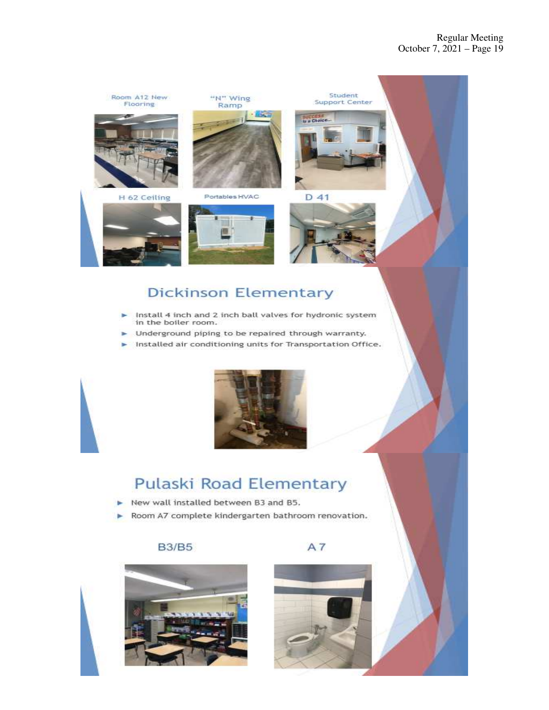

# **Dickinson Elementary**

- Install 4 inch and 2 inch ball valves for hydronic system in the boiler room.
- Underground piping to be repaired through warranty.
- Installed air conditioning units for Transportation Office.



# **Pulaski Road Elementary**

- New wall installed between B3 and B5. ь
- Room A7 complete kindergarten bathroom renovation. ь

# **B3/B5**





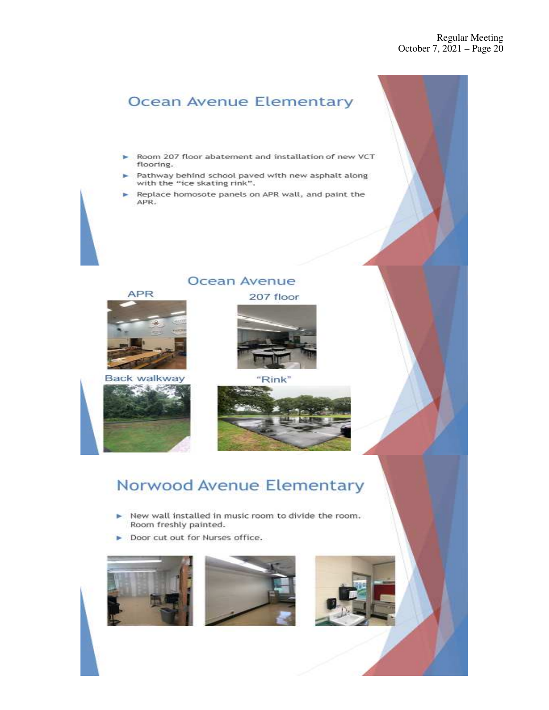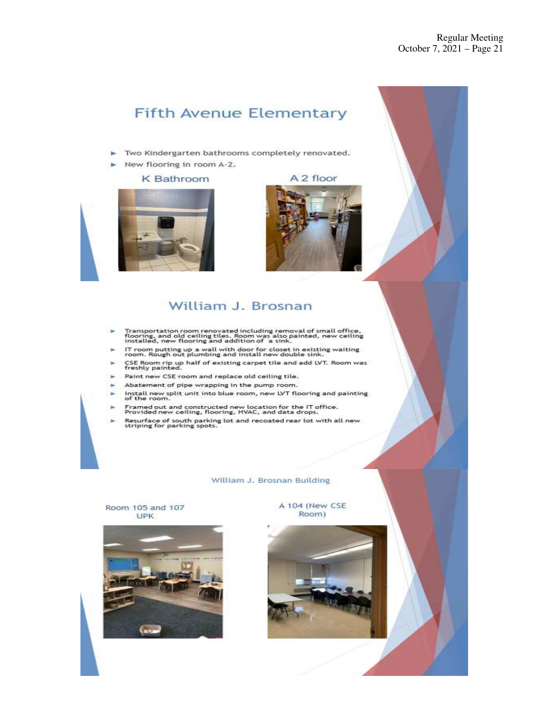# **Fifth Avenue Elementary**

- Two Kindergarten bathrooms completely renovated.
- $\triangleright$  New flooring in room A-2.

### **K** Bathroom







# William J. Brosnan

- Transportation room renovated including removal of small office,<br>flooring, and old ceiling tiles. Room was also painted, new ceiling<br>installed, new flooring and addition of a sink.
- IT room putting up a wall with door for closet in existing waiting<br>room. Rough out plumbing and install new double sink.
- CSE Room rip up half of existing carpet tile and add LVT. Room was<br>freshly painted.
- Paint new CSE room and replace old ceiling tile.
- Abatement of pipe wrapping in the pump room.
- Install new split unit into blue room, new LVT flooring and painting<br>of the room.
- Framed out and constructed new location for the IT office.<br>Provided new ceiling, flooring, HVAC, and data drops.
- Resurface of south parking lot and recoated rear lot with all new.<br>striping for parking spots.

#### William J. Brosnan Building

### Room 105 and 107 **UPK**



A 104 (New CSE Room)

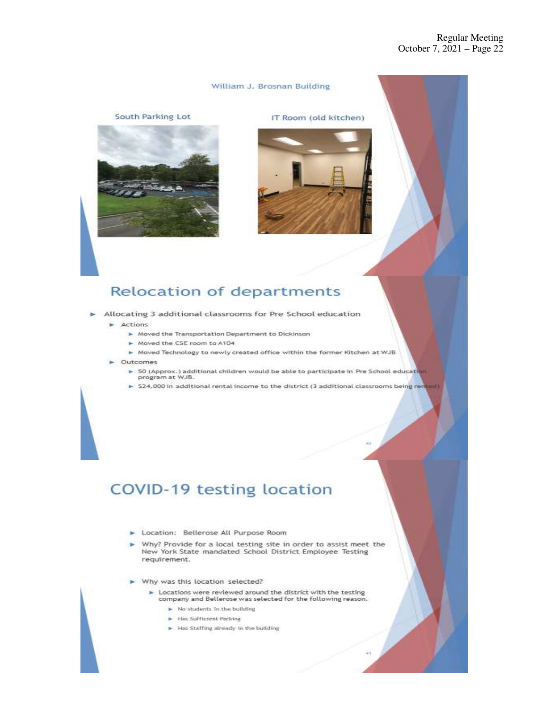### William J. Brosnan Building

South Parking Lot



IT Room (old kitchen)



# **Relocation of departments**

Allocating 3 additional classrooms for Pre School education

#### $\blacktriangleright$  Actions

- > Moved the Transportation Department to Dickinson
- Moved the CSE room to A104
- > Moved Technology to newly created office within the former Kitchen at WJB
- Outcomes
	- > 50 (Approx.) additional children would be able to participate in Pre School education<br>program at WJB.
	- > \$24,000 in additional rental income to the district (3 additional classrooms being re

# COVID-19 testing location

- > Location: Bellerose All Purpose Room
- Why? Provide for a local testing site in order to assist meet the New York State mandated School District Employee Testing requirement.
- Why was this location selected?
	- > Locations were reviewed around the district with the testing company and Bellerose was selected for the following reason.
		- > No students in the building
		- Has Sufficient Parking
		- > Has Staffing already in the building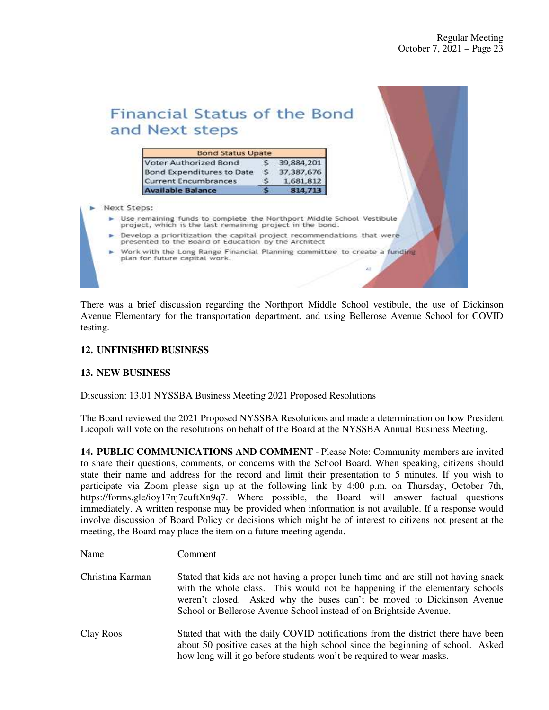| and Next steps<br><b>Bond Status Upate</b><br>Voter Authorized Bond<br>39,884,201<br>\$<br>Bond Expenditures to Date<br>37, 387, 676<br><b>Current Encumbrances</b><br>1,681,812<br><b>Available Balance</b><br>814,713 |
|-------------------------------------------------------------------------------------------------------------------------------------------------------------------------------------------------------------------------|
|                                                                                                                                                                                                                         |
|                                                                                                                                                                                                                         |
|                                                                                                                                                                                                                         |
|                                                                                                                                                                                                                         |
|                                                                                                                                                                                                                         |
|                                                                                                                                                                                                                         |
| Next Steps:<br>> Use remaining funds to complete the Northport Middle School Vestibule<br>project, which is the last remaining project in the bond.                                                                     |
| $\triangleright$ Develop a prioritization the capital project recommendations that were<br>presented to the Board of Education by the Architect                                                                         |
| > Work with the Long Range Financial Planning committee to create a funding<br>plan for future capital work.                                                                                                            |

There was a brief discussion regarding the Northport Middle School vestibule, the use of Dickinson Avenue Elementary for the transportation department, and using Bellerose Avenue School for COVID testing.

# **12. UNFINISHED BUSINESS**

Name Comment

### **13. NEW BUSINESS**

Discussion: 13.01 NYSSBA Business Meeting 2021 Proposed Resolutions

The Board reviewed the 2021 Proposed NYSSBA Resolutions and made a determination on how President Licopoli will vote on the resolutions on behalf of the Board at the NYSSBA Annual Business Meeting.

**14. PUBLIC COMMUNICATIONS AND COMMENT** - Please Note: Community members are invited to share their questions, comments, or concerns with the School Board. When speaking, citizens should state their name and address for the record and limit their presentation to 5 minutes. If you wish to participate via Zoom please sign up at the following link by 4:00 p.m. on Thursday, October 7th, https://forms.gle/ioy17nj7cuftXn9q7. Where possible, the Board will answer factual questions immediately. A written response may be provided when information is not available. If a response would involve discussion of Board Policy or decisions which might be of interest to citizens not present at the meeting, the Board may place the item on a future meeting agenda.

| Christina Karman | Stated that kids are not having a proper lunch time and are still not having snack<br>with the whole class. This would not be happening if the elementary schools<br>weren't closed. Asked why the buses can't be moved to Dickinson Avenue<br>School or Bellerose Avenue School instead of on Brightside Avenue. |
|------------------|-------------------------------------------------------------------------------------------------------------------------------------------------------------------------------------------------------------------------------------------------------------------------------------------------------------------|
| Clay Roos        | Stated that with the daily COVID notifications from the district there have been<br>about 50 positive cases at the high school since the beginning of school. Asked<br>how long will it go before students won't be required to wear masks.                                                                       |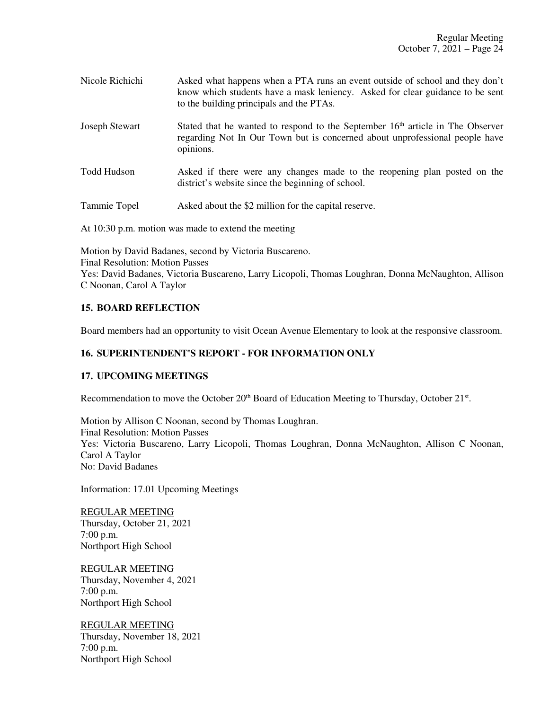| Nicole Richichi | Asked what happens when a PTA runs an event outside of school and they don't<br>know which students have a mask leniency. Asked for clear guidance to be sent<br>to the building principals and the PTAs. |
|-----------------|-----------------------------------------------------------------------------------------------------------------------------------------------------------------------------------------------------------|
| Joseph Stewart  | Stated that he wanted to respond to the September 16 <sup>th</sup> article in The Observer<br>regarding Not In Our Town but is concerned about unprofessional people have<br>opinions.                    |

Todd Hudson Asked if there were any changes made to the reopening plan posted on the district's website since the beginning of school.

Tammie Topel Asked about the \$2 million for the capital reserve.

At 10:30 p.m. motion was made to extend the meeting

Motion by David Badanes, second by Victoria Buscareno. Final Resolution: Motion Passes Yes: David Badanes, Victoria Buscareno, Larry Licopoli, Thomas Loughran, Donna McNaughton, Allison C Noonan, Carol A Taylor

# **15. BOARD REFLECTION**

Board members had an opportunity to visit Ocean Avenue Elementary to look at the responsive classroom.

# **16. SUPERINTENDENT'S REPORT - FOR INFORMATION ONLY**

# **17. UPCOMING MEETINGS**

Recommendation to move the October  $20<sup>th</sup>$  Board of Education Meeting to Thursday, October  $21<sup>st</sup>$ .

Motion by Allison C Noonan, second by Thomas Loughran. Final Resolution: Motion Passes Yes: Victoria Buscareno, Larry Licopoli, Thomas Loughran, Donna McNaughton, Allison C Noonan, Carol A Taylor No: David Badanes

Information: 17.01 Upcoming Meetings

REGULAR MEETING Thursday, October 21, 2021 7:00 p.m. Northport High School

REGULAR MEETING Thursday, November 4, 2021 7:00 p.m. Northport High School

REGULAR MEETING Thursday, November 18, 2021 7:00 p.m. Northport High School